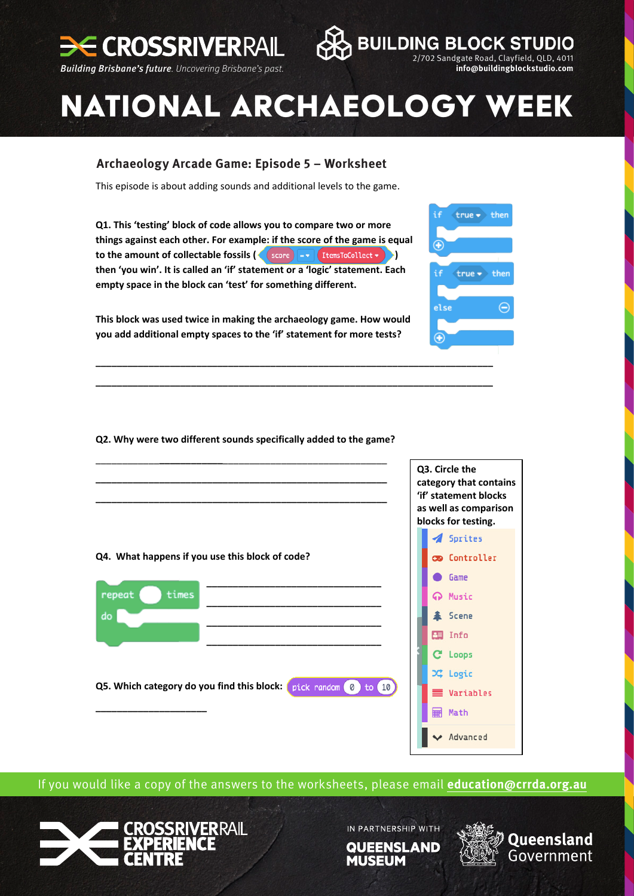

**Email:** info@buildingblockstudio.com



 $true \rightarrow then$ 

 $true \rightarrow then$ 

else

⊕

## **NATIONAL ARCHAEOLOGY WEEK**

## **Archaeology Arcade Game: Episode 5, worksheet. Archaeology Arcade Game: Episode 5 – Worksheet**

This episode is about adding sounds and additional levels to the game.

**Q1. This 'testing' block of code allows you to compare two or more** things against each other. For example: if the score of the game is equal  $\times$  **to the amount of collectable fossils**  $\left(\frac{1}{\sqrt{2}}\right)$  **(***x l***<sub><b>**</sup> *lll*</sub> then 'you win'. It is called an 'if' statement or a 'logic' statement. Each empty space in the block can 'test' for something different.

This block was used twice in making the archaeology game. How would **you** add additional empty spaces to the 'if' statement for more tests?

**\_\_\_\_\_\_\_\_\_\_\_\_\_\_\_\_\_\_\_\_\_\_\_\_\_\_\_\_\_\_\_\_\_\_\_\_\_\_\_\_\_\_\_\_\_\_\_\_\_\_\_\_\_\_\_\_\_\_\_\_\_\_\_\_\_\_\_\_\_\_\_\_\_\_\_ \_\_\_\_\_\_\_\_\_\_\_\_\_\_\_\_\_\_\_\_\_\_\_\_\_\_\_\_\_\_\_\_\_\_\_\_\_\_\_\_\_\_\_\_\_\_\_\_\_\_\_\_\_\_\_\_\_\_\_\_\_\_\_\_\_\_\_\_\_\_\_\_\_\_\_**

**Q2. Why were two different sounds specifically added to the game?** 



If you would like a copy of the answers to the worksheets, please email **[education@crrda.org.au](mailto:education%40crrda.org.au?subject=)**



IN PARTNERSHIP WITH **QUEENSLAND** 

**MUSEUM**